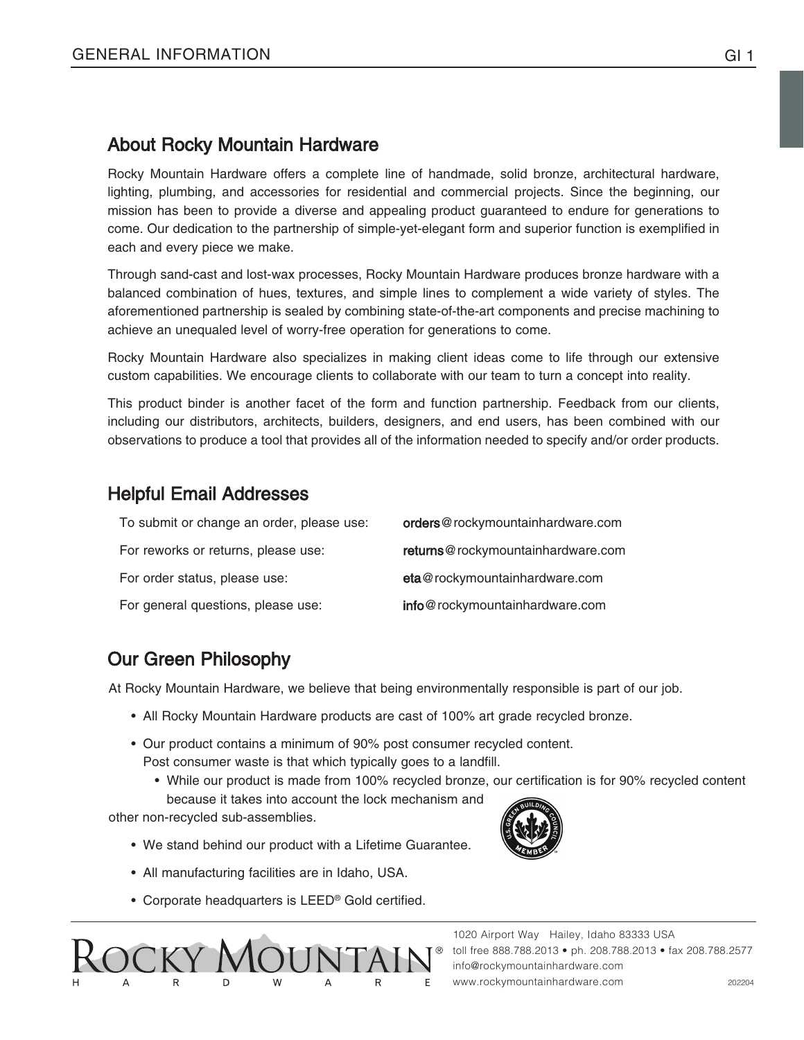## About Rocky Mountain Hardware

Rocky Mountain Hardware offers a complete line of handmade, solid bronze, architectural hardware, lighting, plumbing, and accessories for residential and commercial projects. Since the beginning, our mission has been to provide a diverse and appealing product guaranteed to endure for generations to come. Our dedication to the partnership of simple-yet-elegant form and superior function is exemplified in each and every piece we make.

Through sand-cast and lost-wax processes, Rocky Mountain Hardware produces bronze hardware with a balanced combination of hues, textures, and simple lines to complement a wide variety of styles. The aforementioned partnership is sealed by combining state-of-the-art components and precise machining to achieve an unequaled level of worry-free operation for generations to come.

Rocky Mountain Hardware also specializes in making client ideas come to life through our extensive custom capabilities. We encourage clients to collaborate with our team to turn a concept into reality.

This product binder is another facet of the form and function partnership. Feedback from our clients, including our distributors, architects, builders, designers, and end users, has been combined with our observations to produce a tool that provides all of the information needed to specify and/or order products.

## Helpful Email Addresses

| To submit or change an order, please use: | orders@rockymountainhardware.com  |
|-------------------------------------------|-----------------------------------|
| For reworks or returns, please use:       | returns@rockymountainhardware.com |
| For order status, please use:             | eta@rockymountainhardware.com     |
| For general questions, please use:        | info@rockymountainhardware.com    |

# Our Green Philosophy

At Rocky Mountain Hardware, we believe that being environmentally responsible is part of our job.

- All Rocky Mountain Hardware products are cast of 100% art grade recycled bronze.
- Our product contains a minimum of 90% post consumer recycled content. Post consumer waste is that which typically goes to a landfill.
	- While our product is made from 100% recycled bronze, our certification is for 90% recycled content because it takes into account the lock mechanism and

other non-recycled sub-assemblies.

- We stand behind our product with a Lifetime Guarantee.
- All manufacturing facilities are in Idaho, USA.
- Corporate headquarters is LEED® Gold certified.



1020 Airport Way Hailey, Idaho 83333 USA toll free 888.788.2013 • ph. 208.788.2013 • fax 208.788.2577 info@rockymountainhardware.com www.rockymountainhardware.com 202204

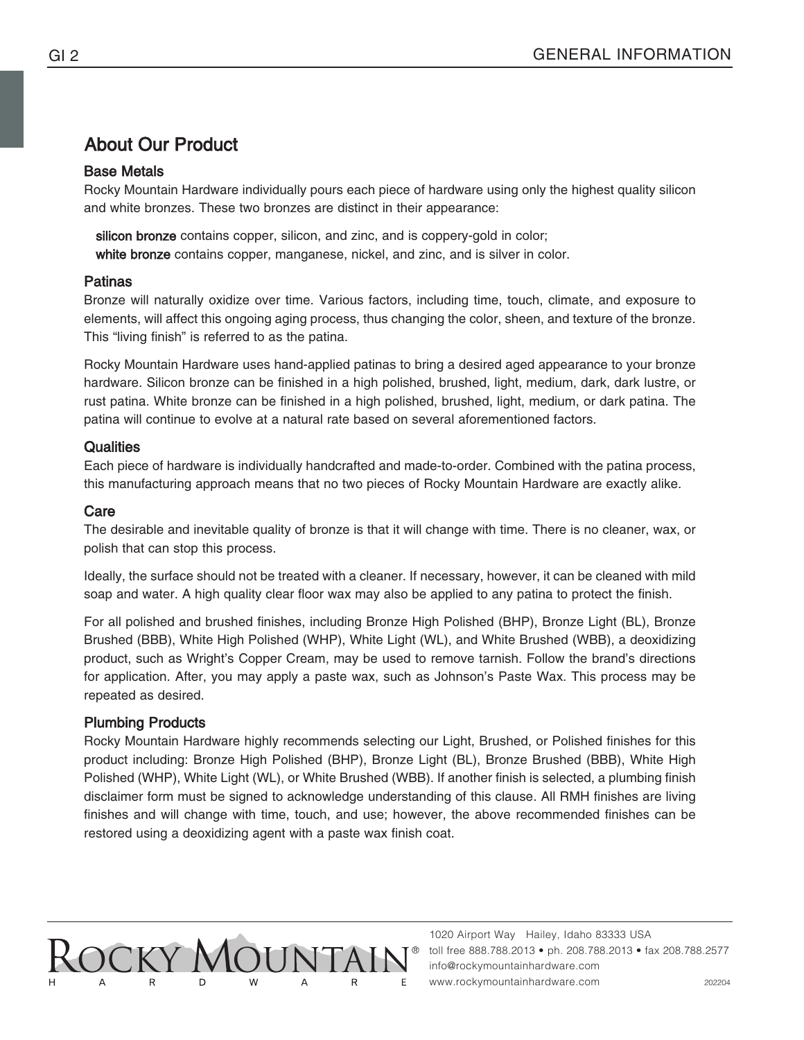# About Our Product

#### Base Metals

Rocky Mountain Hardware individually pours each piece of hardware using only the highest quality silicon and white bronzes. These two bronzes are distinct in their appearance:

silicon bronze contains copper, silicon, and zinc, and is coppery-gold in color; white bronze contains copper, manganese, nickel, and zinc, and is silver in color.

#### Patinas

Bronze will naturally oxidize over time. Various factors, including time, touch, climate, and exposure to elements, will affect this ongoing aging process, thus changing the color, sheen, and texture of the bronze. This "living finish" is referred to as the patina.

Rocky Mountain Hardware uses hand-applied patinas to bring a desired aged appearance to your bronze hardware. Silicon bronze can be finished in a high polished, brushed, light, medium, dark, dark lustre, or rust patina. White bronze can be finished in a high polished, brushed, light, medium, or dark patina. The patina will continue to evolve at a natural rate based on several aforementioned factors.

#### **Qualities**

Each piece of hardware is individually handcrafted and made-to-order. Combined with the patina process, this manufacturing approach means that no two pieces of Rocky Mountain Hardware are exactly alike.

#### Care

The desirable and inevitable quality of bronze is that it will change with time. There is no cleaner, wax, or polish that can stop this process.

Ideally, the surface should not be treated with a cleaner. If necessary, however, it can be cleaned with mild soap and water. A high quality clear floor wax may also be applied to any patina to protect the finish.

For all polished and brushed finishes, including Bronze High Polished (BHP), Bronze Light (BL), Bronze Brushed (BBB), White High Polished (WHP), White Light (WL), and White Brushed (WBB), a deoxidizing product, such as Wright's Copper Cream, may be used to remove tarnish. Follow the brand's directions for application. After, you may apply a paste wax, such as Johnson's Paste Wax. This process may be repeated as desired.

### Plumbing Products

Rocky Mountain Hardware highly recommends selecting our Light, Brushed, or Polished finishes for this product including: Bronze High Polished (BHP), Bronze Light (BL), Bronze Brushed (BBB), White High Polished (WHP), White Light (WL), or White Brushed (WBB). If another finish is selected, a plumbing finish disclaimer form must be signed to acknowledge understanding of this clause. All RMH finishes are living finishes and will change with time, touch, and use; however, the above recommended finishes can be restored using a deoxidizing agent with a paste wax finish coat.

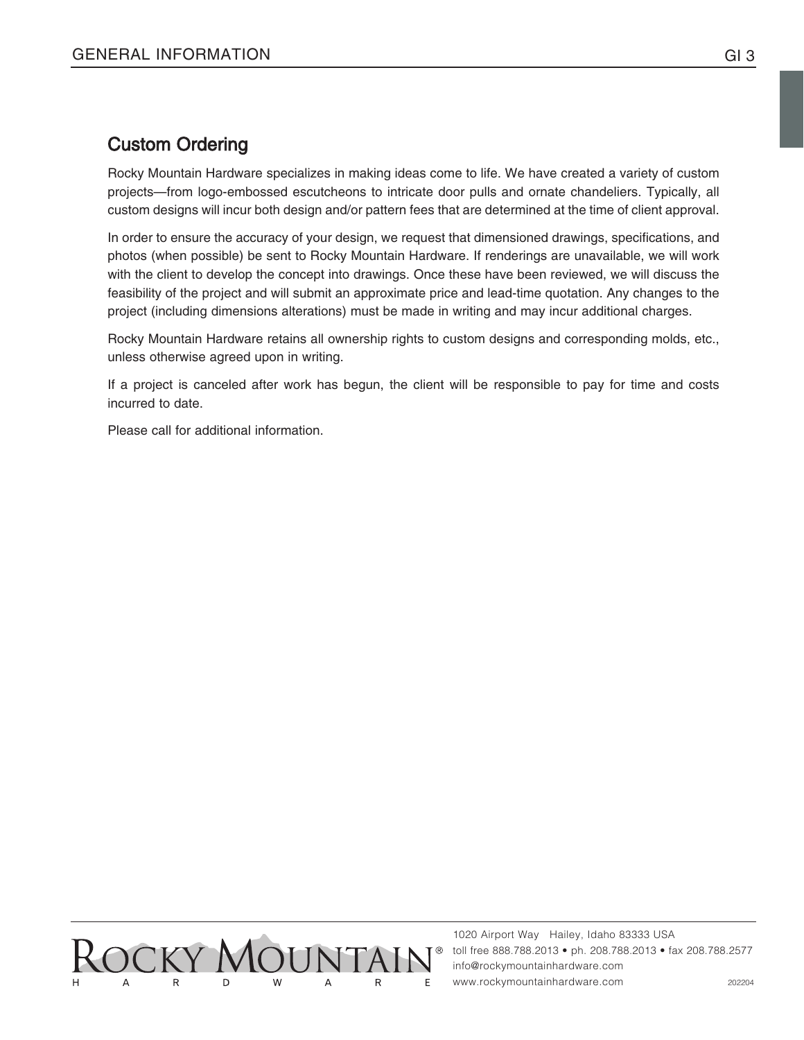## Custom Ordering

Rocky Mountain Hardware specializes in making ideas come to life. We have created a variety of custom projects—from logo-embossed escutcheons to intricate door pulls and ornate chandeliers. Typically, all custom designs will incur both design and/or pattern fees that are determined at the time of client approval.

In order to ensure the accuracy of your design, we request that dimensioned drawings, specifications, and photos (when possible) be sent to Rocky Mountain Hardware. If renderings are unavailable, we will work with the client to develop the concept into drawings. Once these have been reviewed, we will discuss the feasibility of the project and will submit an approximate price and lead-time quotation. Any changes to the project (including dimensions alterations) must be made in writing and may incur additional charges.

Rocky Mountain Hardware retains all ownership rights to custom designs and corresponding molds, etc., unless otherwise agreed upon in writing.

If a project is canceled after work has begun, the client will be responsible to pay for time and costs incurred to date.

Please call for additional information.

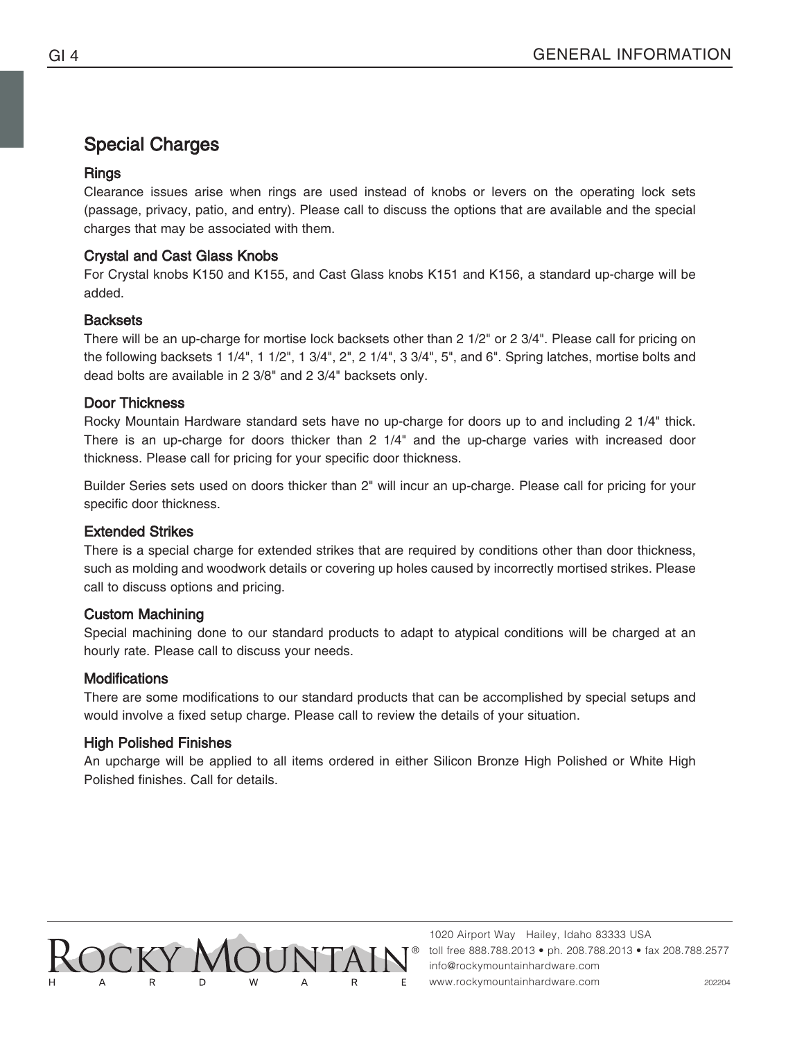# Special Charges

## Rings

Clearance issues arise when rings are used instead of knobs or levers on the operating lock sets (passage, privacy, patio, and entry). Please call to discuss the options that are available and the special charges that may be associated with them.

#### Crystal and Cast Glass Knobs

For Crystal knobs K150 and K155, and Cast Glass knobs K151 and K156, a standard up-charge will be added.

#### **Backsets**

There will be an up-charge for mortise lock backsets other than 2 1/2" or 2 3/4". Please call for pricing on the following backsets 1 1/4", 1 1/2", 1 3/4", 2", 2 1/4", 3 3/4", 5", and 6". Spring latches, mortise bolts and dead bolts are available in 2 3/8" and 2 3/4" backsets only.

#### Door Thickness

Rocky Mountain Hardware standard sets have no up-charge for doors up to and including 2 1/4" thick. There is an up-charge for doors thicker than 2 1/4" and the up-charge varies with increased door thickness. Please call for pricing for your specific door thickness.

Builder Series sets used on doors thicker than 2" will incur an up-charge. Please call for pricing for your specific door thickness.

### Extended Strikes

There is a special charge for extended strikes that are required by conditions other than door thickness, such as molding and woodwork details or covering up holes caused by incorrectly mortised strikes. Please call to discuss options and pricing.

### Custom Machining

Special machining done to our standard products to adapt to atypical conditions will be charged at an hourly rate. Please call to discuss your needs.

#### **Modifications**

There are some modifications to our standard products that can be accomplished by special setups and would involve a fixed setup charge. Please call to review the details of your situation.

### High Polished Finishes

An upcharge will be applied to all items ordered in either Silicon Bronze High Polished or White High Polished finishes. Call for details.

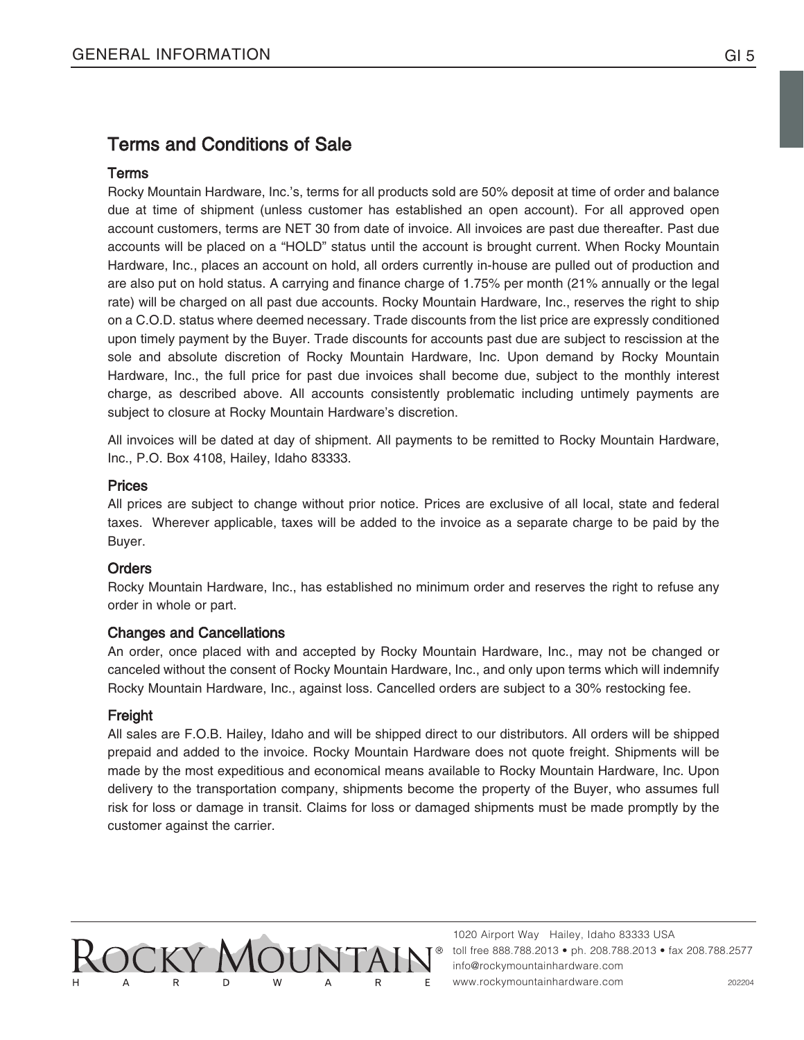## Terms and Conditions of Sale

#### Terms

Rocky Mountain Hardware, Inc.'s, terms for all products sold are 50% deposit at time of order and balance due at time of shipment (unless customer has established an open account). For all approved open account customers, terms are NET 30 from date of invoice. All invoices are past due thereafter. Past due accounts will be placed on a "HOLD" status until the account is brought current. When Rocky Mountain Hardware, Inc., places an account on hold, all orders currently in-house are pulled out of production and are also put on hold status. A carrying and finance charge of 1.75% per month (21% annually or the legal rate) will be charged on all past due accounts. Rocky Mountain Hardware, Inc., reserves the right to ship on a C.O.D. status where deemed necessary. Trade discounts from the list price are expressly conditioned upon timely payment by the Buyer. Trade discounts for accounts past due are subject to rescission at the sole and absolute discretion of Rocky Mountain Hardware, Inc. Upon demand by Rocky Mountain Hardware, Inc., the full price for past due invoices shall become due, subject to the monthly interest charge, as described above. All accounts consistently problematic including untimely payments are subject to closure at Rocky Mountain Hardware's discretion.

All invoices will be dated at day of shipment. All payments to be remitted to Rocky Mountain Hardware, Inc., P.O. Box 4108, Hailey, Idaho 83333.

#### **Prices**

All prices are subject to change without prior notice. Prices are exclusive of all local, state and federal taxes. Wherever applicable, taxes will be added to the invoice as a separate charge to be paid by the Buyer.

#### **Orders**

Rocky Mountain Hardware, Inc., has established no minimum order and reserves the right to refuse any order in whole or part.

#### Changes and Cancellations

An order, once placed with and accepted by Rocky Mountain Hardware, Inc., may not be changed or canceled without the consent of Rocky Mountain Hardware, Inc., and only upon terms which will indemnify Rocky Mountain Hardware, Inc., against loss. Cancelled orders are subject to a 30% restocking fee.

#### Freight

All sales are F.O.B. Hailey, Idaho and will be shipped direct to our distributors. All orders will be shipped prepaid and added to the invoice. Rocky Mountain Hardware does not quote freight. Shipments will be made by the most expeditious and economical means available to Rocky Mountain Hardware, Inc. Upon delivery to the transportation company, shipments become the property of the Buyer, who assumes full risk for loss or damage in transit. Claims for loss or damaged shipments must be made promptly by the customer against the carrier.